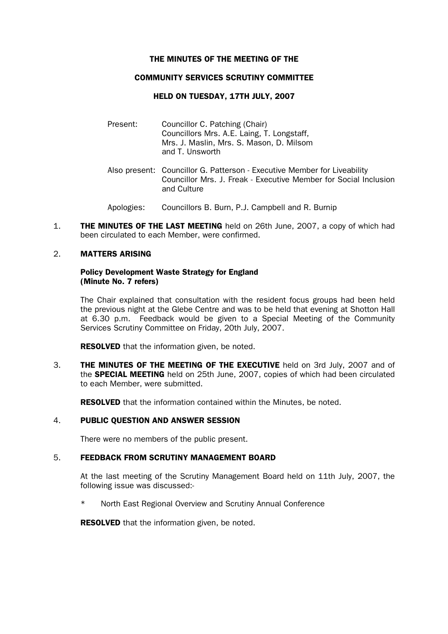#### THE MINUTES OF THE MEETING OF THE

## COMMUNITY SERVICES SCRUTINY COMMITTEE

## HELD ON TUESDAY, 17TH JULY, 2007

- Present: Councillor C. Patching (Chair) Councillors Mrs. A.E. Laing, T. Longstaff, Mrs. J. Maslin, Mrs. S. Mason, D. Milsom and T. Unsworth
- Also present: Councillor G. Patterson Executive Member for Liveability Councillor Mrs. J. Freak - Executive Member for Social Inclusion and Culture
- Apologies: Councillors B. Burn, P.J. Campbell and R. Burnip
- 1. THE MINUTES OF THE LAST MEETING held on 26th June, 2007, a copy of which had been circulated to each Member, were confirmed.

## 2. MATTERS ARISING

## Policy Development Waste Strategy for England (Minute No. 7 refers)

The Chair explained that consultation with the resident focus groups had been held the previous night at the Glebe Centre and was to be held that evening at Shotton Hall at 6.30 p.m. Feedback would be given to a Special Meeting of the Community Services Scrutiny Committee on Friday, 20th July, 2007.

**RESOLVED** that the information given, be noted.

3. **THE MINUTES OF THE MEETING OF THE EXECUTIVE** held on 3rd July, 2007 and of the **SPECIAL MEETING** held on 25th June, 2007, copies of which had been circulated to each Member, were submitted.

**RESOLVED** that the information contained within the Minutes, be noted.

## 4. PUBLIC QUESTION AND ANSWER SESSION

There were no members of the public present.

# 5. FEEDBACK FROM SCRUTINY MANAGEMENT BOARD

 At the last meeting of the Scrutiny Management Board held on 11th July, 2007, the following issue was discussed:-

\* North East Regional Overview and Scrutiny Annual Conference

**RESOLVED** that the information given, be noted.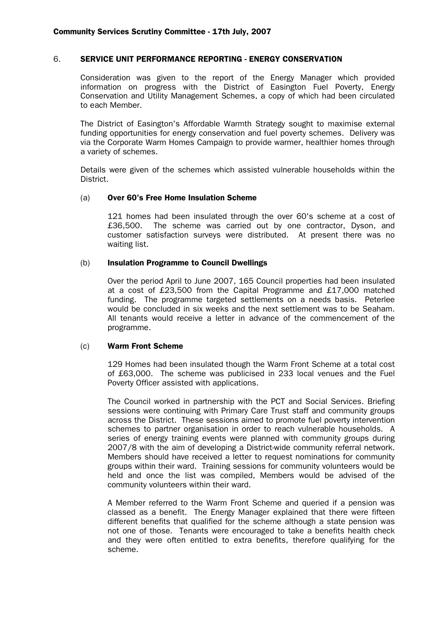#### 6. SERVICE UNIT PERFORMANCE REPORTING - ENERGY CONSERVATION

 Consideration was given to the report of the Energy Manager which provided information on progress with the District of Easington Fuel Poverty, Energy Conservation and Utility Management Schemes, a copy of which had been circulated to each Member.

 The District of Easington's Affordable Warmth Strategy sought to maximise external funding opportunities for energy conservation and fuel poverty schemes. Delivery was via the Corporate Warm Homes Campaign to provide warmer, healthier homes through a variety of schemes.

 Details were given of the schemes which assisted vulnerable households within the District.

### (a) Over 60's Free Home Insulation Scheme

121 homes had been insulated through the over 60's scheme at a cost of £36,500. The scheme was carried out by one contractor, Dyson, and customer satisfaction surveys were distributed. At present there was no waiting list.

### (b) Insulation Programme to Council Dwellings

Over the period April to June 2007, 165 Council properties had been insulated at a cost of £23,500 from the Capital Programme and £17,000 matched funding. The programme targeted settlements on a needs basis. Peterlee would be concluded in six weeks and the next settlement was to be Seaham. All tenants would receive a letter in advance of the commencement of the programme.

#### (c) Warm Front Scheme

 129 Homes had been insulated though the Warm Front Scheme at a total cost of £63,000. The scheme was publicised in 233 local venues and the Fuel Poverty Officer assisted with applications.

 The Council worked in partnership with the PCT and Social Services. Briefing sessions were continuing with Primary Care Trust staff and community groups across the District. These sessions aimed to promote fuel poverty intervention schemes to partner organisation in order to reach vulnerable households. A series of energy training events were planned with community groups during 2007/8 with the aim of developing a District-wide community referral network. Members should have received a letter to request nominations for community groups within their ward. Training sessions for community volunteers would be held and once the list was compiled, Members would be advised of the community volunteers within their ward.

 A Member referred to the Warm Front Scheme and queried if a pension was classed as a benefit. The Energy Manager explained that there were fifteen different benefits that qualified for the scheme although a state pension was not one of those. Tenants were encouraged to take a benefits health check and they were often entitled to extra benefits, therefore qualifying for the scheme.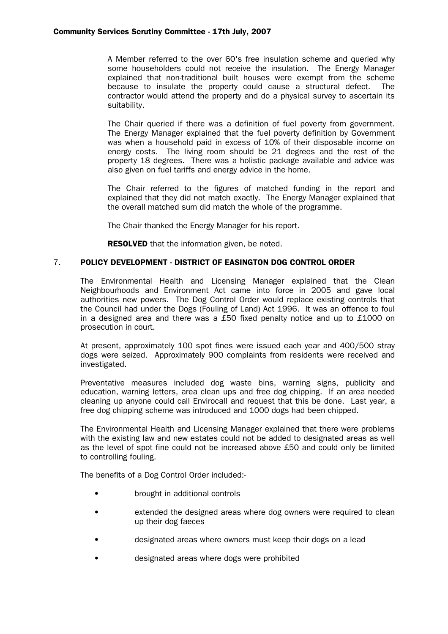A Member referred to the over 60's free insulation scheme and queried why some householders could not receive the insulation. The Energy Manager explained that non-traditional built houses were exempt from the scheme because to insulate the property could cause a structural defect. The contractor would attend the property and do a physical survey to ascertain its suitability.

 The Chair queried if there was a definition of fuel poverty from government. The Energy Manager explained that the fuel poverty definition by Government was when a household paid in excess of 10% of their disposable income on energy costs. The living room should be 21 degrees and the rest of the property 18 degrees. There was a holistic package available and advice was also given on fuel tariffs and energy advice in the home.

 The Chair referred to the figures of matched funding in the report and explained that they did not match exactly. The Energy Manager explained that the overall matched sum did match the whole of the programme.

The Chair thanked the Energy Manager for his report.

**RESOLVED** that the information given, be noted.

# 7. POLICY DEVELOPMENT - DISTRICT OF EASINGTON DOG CONTROL ORDER

 The Environmental Health and Licensing Manager explained that the Clean Neighbourhoods and Environment Act came into force in 2005 and gave local authorities new powers. The Dog Control Order would replace existing controls that the Council had under the Dogs (Fouling of Land) Act 1996. It was an offence to foul in a designed area and there was a £50 fixed penalty notice and up to £1000 on prosecution in court.

 At present, approximately 100 spot fines were issued each year and 400/500 stray dogs were seized. Approximately 900 complaints from residents were received and investigated.

Preventative measures included dog waste bins, warning signs, publicity and education, warning letters, area clean ups and free dog chipping. If an area needed cleaning up anyone could call Envirocall and request that this be done. Last year, a free dog chipping scheme was introduced and 1000 dogs had been chipped.

 The Environmental Health and Licensing Manager explained that there were problems with the existing law and new estates could not be added to designated areas as well as the level of spot fine could not be increased above £50 and could only be limited to controlling fouling.

The benefits of a Dog Control Order included:-

- brought in additional controls
- extended the designed areas where dog owners were required to clean up their dog faeces
- designated areas where owners must keep their dogs on a lead
- designated areas where dogs were prohibited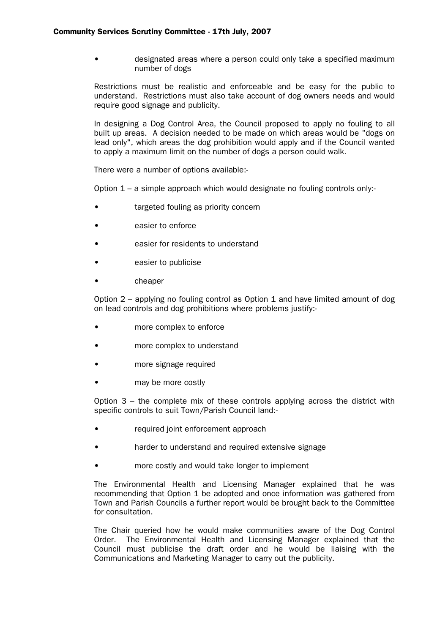• designated areas where a person could only take a specified maximum number of dogs

Restrictions must be realistic and enforceable and be easy for the public to understand. Restrictions must also take account of dog owners needs and would require good signage and publicity.

 In designing a Dog Control Area, the Council proposed to apply no fouling to all built up areas. A decision needed to be made on which areas would be "dogs on lead only", which areas the dog prohibition would apply and if the Council wanted to apply a maximum limit on the number of dogs a person could walk.

There were a number of options available:-

Option 1 – a simple approach which would designate no fouling controls only:-

- targeted fouling as priority concern
- easier to enforce
- easier for residents to understand
- easier to publicise
- cheaper

Option  $2$  – applying no fouling control as Option 1 and have limited amount of dog on lead controls and dog prohibitions where problems justify:-

- more complex to enforce
- more complex to understand
- more signage required
- may be more costly

Option 3 – the complete mix of these controls applying across the district with specific controls to suit Town/Parish Council land:-

- required joint enforcement approach
- harder to understand and required extensive signage
- more costly and would take longer to implement

 The Environmental Health and Licensing Manager explained that he was recommending that Option 1 be adopted and once information was gathered from Town and Parish Councils a further report would be brought back to the Committee for consultation.

 The Chair queried how he would make communities aware of the Dog Control Order. The Environmental Health and Licensing Manager explained that the Council must publicise the draft order and he would be liaising with the Communications and Marketing Manager to carry out the publicity.